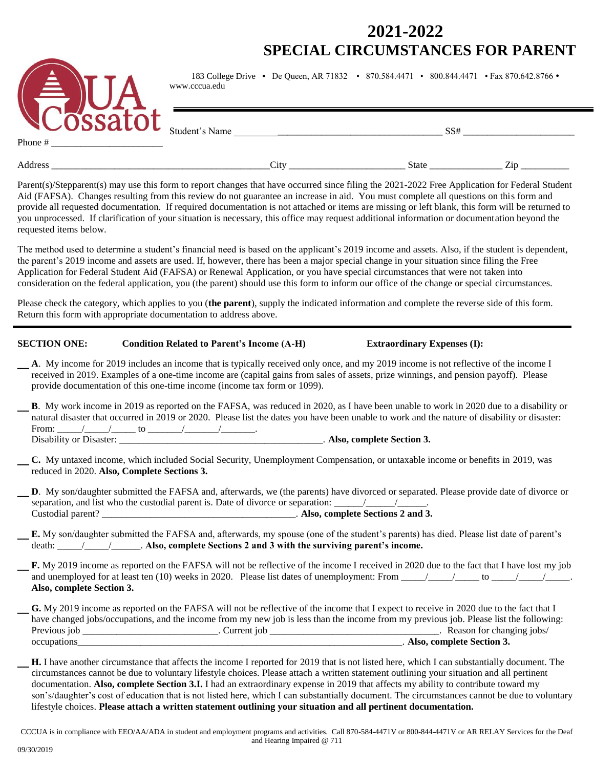## **2021-2022 SPECIAL CIRCUMSTANCES FOR PARENT**



183 College Drive **•** De Queen, AR 71832 • 870.584.4471 • 800.844.4471 • Fax 870.642.8766 www.cccua.edu

Student's Name \_\_\_\_\_\_\_\_\_\_\_\_\_\_\_\_\_\_\_\_\_\_\_\_\_\_\_\_\_\_\_\_\_\_\_\_\_\_\_\_\_\_\_ SS# \_\_\_\_\_\_\_\_\_\_\_\_\_\_\_\_\_\_\_\_\_\_\_

Phone #

Address \_\_\_\_\_\_\_\_\_\_\_\_\_\_\_\_\_\_\_\_\_\_\_\_\_\_\_\_\_\_\_\_\_\_\_\_\_\_\_\_\_\_\_\_\_City \_\_\_\_\_\_\_\_\_\_\_\_\_\_\_\_\_\_\_\_\_\_\_\_ State \_\_\_\_\_\_\_\_\_\_\_\_\_\_\_ Zip \_\_\_\_\_\_\_\_\_\_

Parent(s)/Stepparent(s) may use this form to report changes that have occurred since filing the 2021-2022 Free Application for Federal Student Aid (FAFSA). Changes resulting from this review do not guarantee an increase in aid. You must complete all questions on this form and provide all requested documentation. If required documentation is not attached or items are missing or left blank, this form will be returned to you unprocessed. If clarification of your situation is necessary, this office may request additional information or documentation beyond the requested items below.

The method used to determine a student's financial need is based on the applicant's 2019 income and assets. Also, if the student is dependent, the parent's 2019 income and assets are used. If, however, there has been a major special change in your situation since filing the Free Application for Federal Student Aid (FAFSA) or Renewal Application, or you have special circumstances that were not taken into consideration on the federal application, you (the parent) should use this form to inform our office of the change or special circumstances.

Please check the category, which applies to you (**the parent**), supply the indicated information and complete the reverse side of this form. Return this form with appropriate documentation to address above.

#### **SECTION ONE: Condition Related to Parent's Income (A-H) Extraordinary Expenses (I):**

\_ **<sup>A</sup>**. My income for 2019 includes an income that is typically received only once, and my 2019 income is not reflective of the income I received in 2019. Examples of a one-time income are (capital gains from sales of assets, prize winnings, and pension payoff). Please provide documentation of this one-time income (income tax form or 1099).

\_ **<sup>B</sup>**. My work income in 2019 as reported on the FAFSA, was reduced in 2020, as I have been unable to work in 2020 due to a disability or natural disaster that occurred in 2019 or 2020. Please list the dates you have been unable to work and the nature of disability or disaster: From: \_\_\_\_\_/\_\_\_\_\_/\_\_\_\_\_ to \_\_\_\_\_\_\_/\_\_\_\_\_\_\_/\_\_\_\_\_\_\_. .<br>\_\_\_\_\_\_\_\_\_\_\_\_\_\_\_\_\_\_\_\_\_\_\_\_\_. Also, complete Section 3.

\_ **C.** My untaxed income, which included Social Security, Unemployment Compensation, or untaxable income or benefits in 2019, was reduced in 2020. **Also, Complete Sections 3.**

\_ **<sup>D</sup>**. My son/daughter submitted the FAFSA and, afterwards, we (the parents) have divorced or separated. Please provide date of divorce or separation, and list who the custodial parent is. Date of divorce or separation: \_\_\_\_\_\_\_\_\_\_\_\_\_\_\_\_\_\_\_\_\_\_\_\_\_\_\_\_. Custodial parent? \_\_\_\_\_\_\_\_\_\_\_\_\_\_\_\_\_\_\_\_\_\_\_\_\_\_\_\_\_\_\_\_\_\_\_\_\_\_\_\_. **Also, complete Sections 2 and 3.**

\_ **E.** My son/daughter submitted the FAFSA and, afterwards, my spouse (one of the student's parents) has died. Please list date of parent's death: \_\_\_\_\_/\_\_\_\_\_/\_\_\_\_\_\_. **Also, complete Sections 2 and 3 with the surviving parent's income.**

\_ **F.** My 2019 income as reported on the FAFSA will not be reflective of the income I received in 2020 due to the fact that I have lost my job and unemployed for at least ten (10) weeks in 2020. Please list dates of unemployment: From  $\frac{1}{\sqrt{2}}$  to  $\frac{1}{\sqrt{2}}$ . **Also, complete Section 3.**

|              |               | G. My 2019 income as reported on the FAFSA will not be reflective of the income that I expect to receive in 2020 due to the fact that I |
|--------------|---------------|-----------------------------------------------------------------------------------------------------------------------------------------|
|              |               | have changed jobs/occupations, and the income from my new job is less than the income from my previous job. Please list the following:  |
| Previous job | . Current iob | Reason for changing jobs/                                                                                                               |
| occupations  |               | Also, complete Section 3.                                                                                                               |

\_ **H.** I have another circumstance that affects the income I reported for 2019 that is not listed here, which I can substantially document. The circumstances cannot be due to voluntary lifestyle choices. Please attach a written statement outlining your situation and all pertinent documentation. **Also, complete Section 3.I.** I had an extraordinary expense in 2019 that affects my ability to contribute toward my son's/daughter's cost of education that is not listed here, which I can substantially document. The circumstances cannot be due to voluntary lifestyle choices. **Please attach a written statement outlining your situation and all pertinent documentation.**